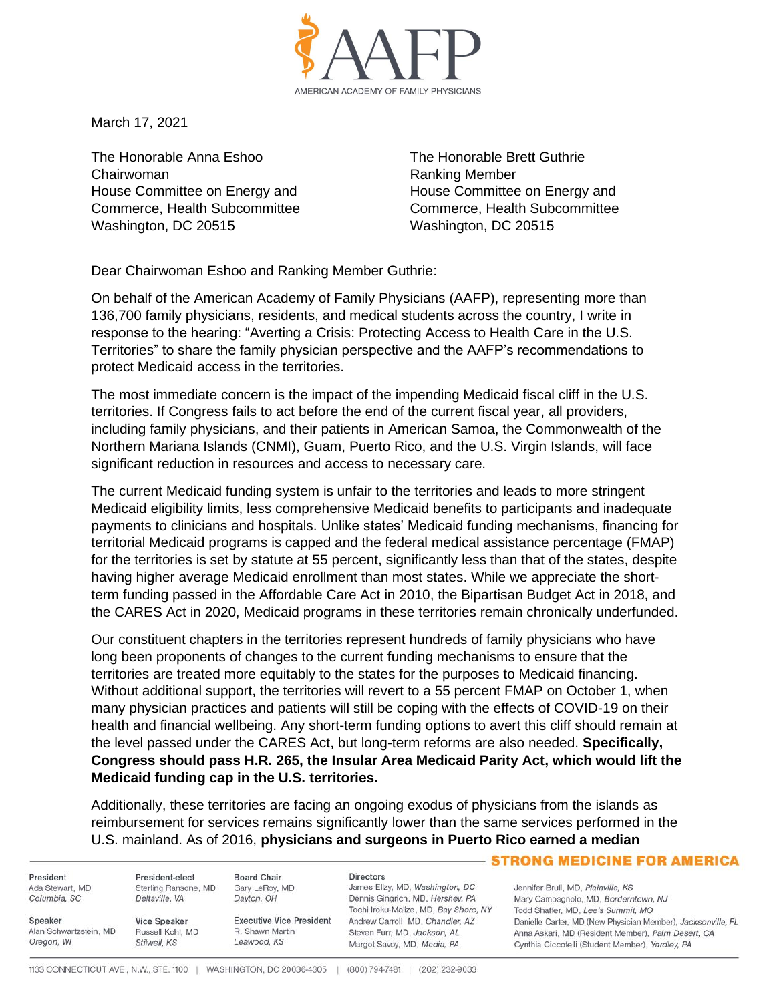

March 17, 2021

The Honorable Anna Eshoo Chairwoman House Committee on Energy and Commerce, Health Subcommittee Washington, DC 20515

The Honorable Brett Guthrie Ranking Member House Committee on Energy and Commerce, Health Subcommittee Washington, DC 20515

Dear Chairwoman Eshoo and Ranking Member Guthrie:

On behalf of the American Academy of Family Physicians (AAFP), representing more than 136,700 family physicians, residents, and medical students across the country, I write in response to the hearing: "Averting a Crisis: Protecting Access to Health Care in the U.S. Territories" to share the family physician perspective and the AAFP's recommendations to protect Medicaid access in the territories.

The most immediate concern is the impact of the impending Medicaid fiscal cliff in the U.S. territories. If Congress fails to act before the end of the current fiscal year, all providers, including family physicians, and their patients in American Samoa, the Commonwealth of the Northern Mariana Islands (CNMI), Guam, Puerto Rico, and the U.S. Virgin Islands, will face significant reduction in resources and access to necessary care.

The current Medicaid funding system is unfair to the territories and leads to more stringent Medicaid eligibility limits, less comprehensive Medicaid benefits to participants and inadequate payments to clinicians and hospitals. Unlike states' Medicaid funding mechanisms, financing for territorial Medicaid programs is capped and the federal medical assistance percentage (FMAP) for the territories is set by statute at 55 percent, significantly less than that of the states, despite having higher average Medicaid enrollment than most states. While we appreciate the shortterm funding passed in the Affordable Care Act in 2010, the Bipartisan Budget Act in 2018, and the CARES Act in 2020, Medicaid programs in these territories remain chronically underfunded.

Our constituent chapters in the territories represent hundreds of family physicians who have long been proponents of changes to the current funding mechanisms to ensure that the territories are treated more equitably to the states for the purposes to Medicaid financing. Without additional support, the territories will revert to a 55 percent FMAP on October 1, when many physician practices and patients will still be coping with the effects of COVID-19 on their health and financial wellbeing. Any short-term funding options to avert this cliff should remain at the level passed under the CARES Act, but long-term reforms are also needed. **Specifically, Congress should pass H.R. 265, the Insular Area Medicaid Parity Act, which would lift the Medicaid funding cap in the U.S. territories.**

Additionally, these territories are facing an ongoing exodus of physicians from the islands as reimbursement for services remains significantly lower than the same services performed in the U.S. mainland. As of 2016, **physicians and surgeons in Puerto Rico earned a median** 

President Ada Stewart, MD Columbia, SC

Alan Schwartzstein, MD

Speaker

Oregon, WI

President-elect Sterling Ransone, MD Deltaville, VA

Vice Speaker

Stilwell, KS

Russell Kohl, MD

Gary LeRoy, MD Dayton, OH

**Board Chair** 

**Executive Vice President** R. Shawn Martin Leawood, KS

**Directors** 

James Ellzy, MD, Washington, DC Dennis Gingrich, MD, Hershey, PA Tochi Iroku-Malize, MD, Bay Shore, NY Andrew Carroll, MD, Chandler, AZ Steven Furr, MD, Jackson, AL Margot Savoy, MD, Media, PA

## **STRONG MEDICINE FOR AMERICA**

Jennifer Brull, MD, Plainville, KS Mary Campagnolo, MD, Borderntown, NJ Todd Shaffer, MD, Lee's Summit, MO Danielle Carter, MD (New Physician Member), Jacksonville, FL Anna Askari, MD (Resident Member), Palm Desert, CA Cynthia Ciccotelli (Student Member), Yardley, PA